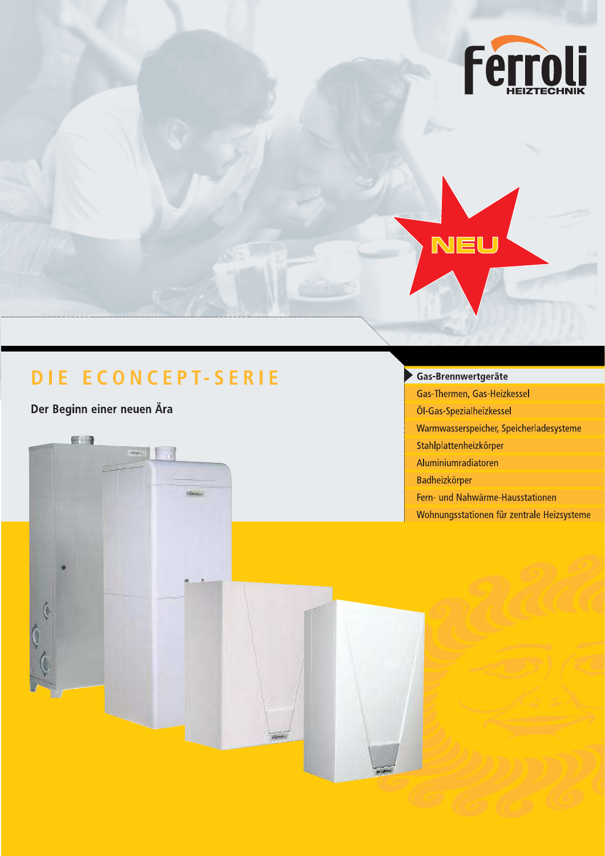

Der Beginn einer neuen Ära

新闻

# Gas-Brennwertgeräte

–<br>NEU

Gas-Thermen, Gas-Heizkessel Öl-Gas-Spezialheizkessel Warmwasserspeicher, Speicherladesysteme Stahlplattenheizkörper Aluminiumradiatoren Badheizkörper Fern- und Nahwärme-Hausstationen Wohnungsstationen für zentrale Heizsysteme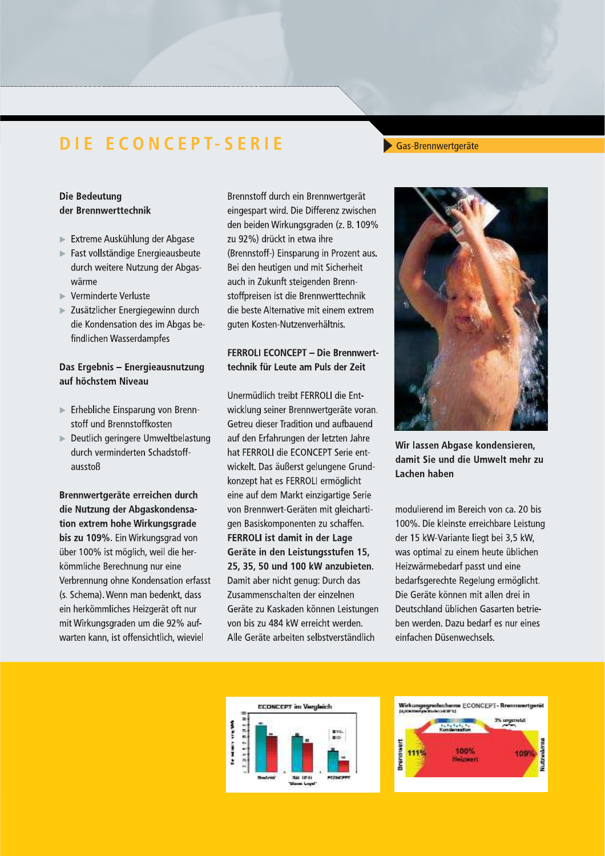# -Brennwertgerate

## **Die Bedeutung** der Brennwerttechnik

- kunlung der Abgase
- Fast vollstandige Energieausbeute aurch weitere Nutzung der Abgaswärme
- $\blacktriangleright$  Verminderte Verluste
- **DIE ECONC**<br>
Die Bedeutung<br>
der Brennwerttechnik<br>
► Extreme Auskühlung der Ab<br>
► Fast vollständige Energieaus<br>
durch weitere Nutzung der *,<br>
wärme*<br>
► Verminderte Verluste<br>
► Zusätzlicher Energiegewinn<br>
die Kondensation d zusatzlicher Energiegewinn durch die Kondensation des im Abgas befindlichen Wasserdampfes

#### Das Ergebnis - Energieausnutzung auf höchstem Niveau

- $\blacktriangleright$  Ernebliche Einsparung von Brennstoff und Brennstoffkosten
- $\blacktriangleright$  Deutlich geringere Umweltbelastung durch verminderten Schadstoffausstoß

Brennwertgeräte erreichen durch die Nutzung der Abgaskondensation extrem hohe Wirkungsgrade bis zu 109%. Ein Wirkungsgrad von uber 100% ist moglich, well die herkommiiche Berechnung nur eine verbrennung onne Kondensation erfasst (s. Schema). Wenn man bedenkt, dass ein herkommliches Heizgerat oft hur mit Wirkungsgraden um die 92% aufwarten kann, ist offensichtlich, wieviel

Brennstoff durch ein Brennwertgerat eingespart wird. Die Differenz zwischen den belden Wirkungsgraden (z. B. 109%) zu 92%) drückt in etwa ihre (Brennstoff-) Einsparung in Prozent aus. Bei den neutigen und mit Sicherneit auch in Zukunft steigenden Brennstoffpreisen ist die Brennwerttechnik die beste Alternative mit einem extrem Emgesplart what. Die Bintetniz zwischen<br>
den beiden Wirkungsgraden (z. B. 109%<br>
zu 92%) drückt in etwa ihre<br>
(Brennstoff-) Einsparung in Prozent aus.<br>
Bei den heutigen und mit Sicherheit<br>
auch in Zukunft steigenden Brenn-<br> uten Kosten-Nutzenverhaltnis.

## FERROLI ECONCEPT - Die Brennwerttechnik für Leute am Puls der Zeit

Unermüdlich treibt FERROLI die Entwicklung seiner Brennwertgerate voran. Getreu dieser Tradition und aufbauend auf den Erfahrungen der letzten Janre hat FERROLI die ECONCEPT Serie entwickelt. Das außerst gelungene Grundkonzept nat es FERROLI ermoglicht eine auf dem Markt einzigartige Serie von Brennwert-Geraten mit gleichartigen Basiskomponenten zu schaffen. FERROLI ist damit in der Lage Geräte in den Leistungsstufen 15, 25, 35, 50 und 100 kW anzubieten. Damit aber hicht genug: Durch das Zusammenschalten der einzelnen Gerate zu Kaskaden konnen Leistungen von bis zu 484 kW erreicht werden. Alle Gerate arbeiten selbstverstandlich



Wir lassen Abgase kondensieren. damit Sie und die Umwelt mehr zu Lachen haben

modulierend im Bereich von ca. 20 bis TUU%. Die kleinste erreichbare Leistung der 15 kw-variante liegt bei 3,5 kw, was optimal zu einem heute ublichen Heizwarmebedarf passt und eine bedarfsgerechte Regelung ermoglicht. Die Geräte können mit allen drei in Deutschland ublichen Gasarten betrieben werden. Dazu bedarf es hur eines einfachen Dusenwechsels.



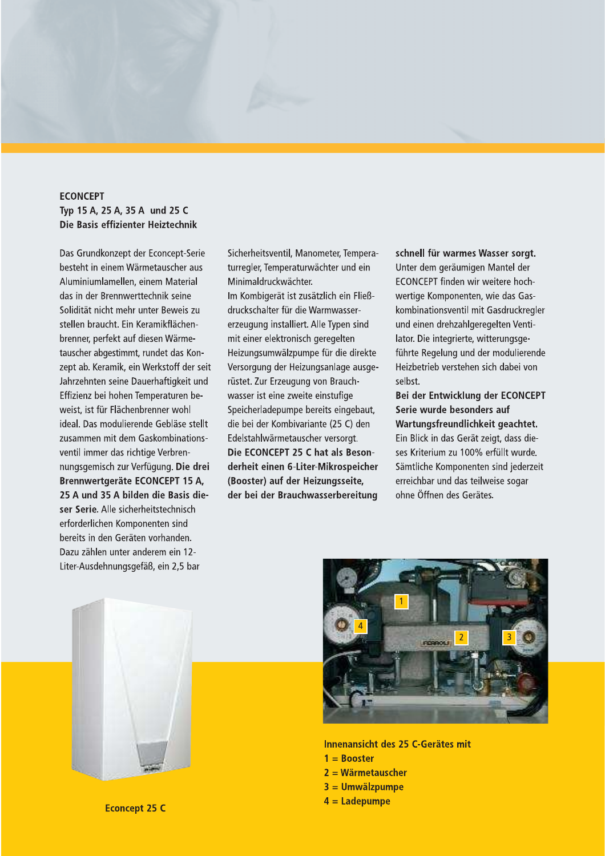#### **ECONCEPT** Typ 15 A, 25 A, 35 A und 25 C Die Basis effizienter Heiztechnik

Das Grundkonzept der Econcept-Serie besteht in einem Wärmetauscher aus Aluminiumlamellen, einem Material das in der Brennwerttechnik seine Solidität nicht mehr unter Beweis zu stellen braucht. Ein Keramikflächenbrenner, perfekt auf diesen Wärmetauscher abgestimmt, rundet das Konzept ab. Keramik, ein Werkstoff der seit Jahrzehnten seine Dauerhaftigkeit und Effizienz bei hohen Temperaturen beweist, ist für Flächenbrenner wohl ideal. Das modulierende Gebläse stellt zusammen mit dem Gaskombinationsventil immer das richtige Verbrennungsgemisch zur Verfügung. Die drei Brennwertgeräte ECONCEPT 15 A, 25 A und 35 A bilden die Basis dieser Serie. Alle sicherheitstechnisch erforderlichen Komponenten sind bereits in den Geräten vorhanden. Dazu zählen unter anderem ein 12-Liter-Ausdehnungsgefäß, ein 2,5 bar

Sicherheitsventil, Manometer, Temperaturregler, Temperaturwächter und ein Minimaldruckwächter.

Im Kombigerät ist zusätzlich ein Fließdruckschalter für die Warmwassererzeugung installiert. Alle Typen sind mit einer elektronisch geregelten Heizungsumwälzpumpe für die direkte Versorgung der Heizungsanlage ausgerüstet. Zur Erzeugung von Brauchwasser ist eine zweite einstufige Speicherladepumpe bereits eingebaut, die bei der Kombivariante (25 C) den Edelstahlwärmetauscher versorgt. Die ECONCEPT 25 C hat als Besonderheit einen 6-Liter-Mikrospeicher (Booster) auf der Heizungsseite, der bei der Brauchwasserbereitung

schnell für warmes Wasser sorgt. Unter dem geräumigen Mantel der ECONCEPT finden wir weitere hochwertige Komponenten, wie das Gaskombinationsventil mit Gasdruckregler und einen drehzahlgeregelten Ventilator. Die integrierte, witterungsgeführte Regelung und der modulierende Heizbetrieb verstehen sich dabei von selbst.

Bei der Entwicklung der ECONCEPT Serie wurde besonders auf Wartungsfreundlichkeit geachtet. Ein Blick in das Gerät zeigt, dass dieses Kriterium zu 100% erfüllt wurde. Sämtliche Komponenten sind jederzeit erreichbar und das teilweise sogar ohne Öffnen des Gerätes.





Innenansicht des 25 C-Gerätes mit  $1 = **Booster**$  $2 = W$ ärmetauscher  $3 =$  Umwälzpumpe  $4 =$ Ladepumpe

**Econcept 25 C**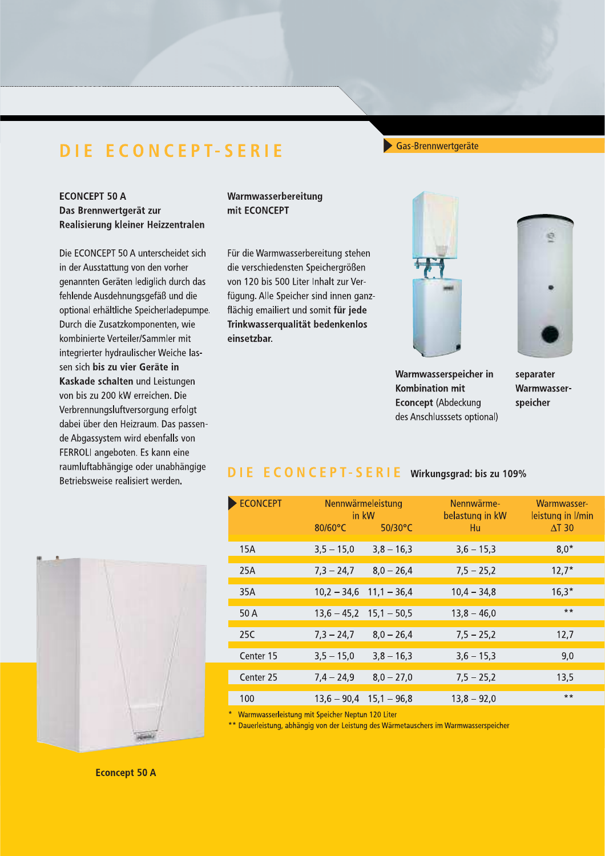Warmwasserbereitung

Trinkwasserqualität bedenkenlos

mit ECONCEPT

einsetzbar.

**ECONCEPT 50 A** 

Das Brennwertgerät zur

Realisierung kleiner Heizzentralen

Die ECONCEPT 50 A unterscheidet sich

genannten Geräten lediglich durch das

optional erhältliche Speicherladepumpe.

fehlende Ausdehnungsgefäß und die

Durch die Zusatzkomponenten, wie kombinierte Verteiler/Sammler mit

integrierter hydraulischer Weiche lassen sich bis zu vier Geräte in

Kaskade schalten und Leistungen

Verbrennungsluftversorgung erfolgt

dabei über den Heizraum. Das passende Abgassystem wird ebenfalls von FERROLI angeboten. Es kann eine raumluftabhängige oder unabhängige

von bis zu 200 kW erreichen. Die

Betriebsweise realisiert werden.

in der Ausstattung von den vorher

#### Gas-Brennwertgeräte







Warmwasserspeicher in **Kombination mit** Econcept (Abdeckung des Anschlusssets optional)

separater Warmwasserspeicher

#### **DIE ECONCEPT-SERIE** Wirkungsgrad: bis zu 109%



Warmwasserleistung mit Speicher Neptun 120 Liter

\*\* Dauerleistung, abhängig von der Leistung des Wärmetauschers im Warmwasserspeicher



**Econcept 50 A**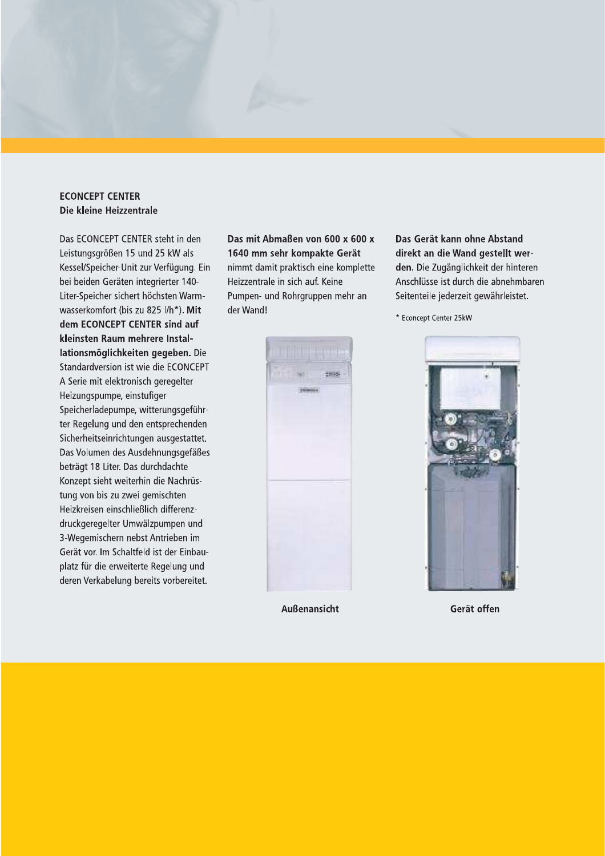**ECONCEPT CENTER** Die kleine Heizzentrale

Das ECONCEPT CENTER steht in den Leistungsgrößen 15 und 25 kW als Kessel/Speicher-Unit zur Verfügung. Ein bei beiden Geräten integrierter 140-Liter-Speicher sichert höchsten Warmwasserkomfort (bis zu 825 l/h\*). Mit dem ECONCEPT CENTER sind auf kleinsten Raum mehrere Installationsmöglichkeiten gegeben. Die Standardversion ist wie die ECONCEPT A Serie mit elektronisch geregelter Heizungspumpe, einstufiger Speicherladepumpe, witterungsgeführter Regelung und den entsprechenden Sicherheitseinrichtungen ausgestattet. Das Volumen des Ausdehnungsgefäßes beträgt 18 Liter. Das durchdachte Konzept sieht weiterhin die Nachrüstung von bis zu zwei gemischten Heizkreisen einschließlich differenzdruckgeregelter Umwälzpumpen und 3-Wegemischern nebst Antrieben im Gerät vor. Im Schaltfeld ist der Einbauplatz für die erweiterte Regelung und deren Verkabelung bereits vorbereitet.

Das mit Abmaßen von 600 x 600 x 1640 mm sehr kompakte Gerät nimmt damit praktisch eine komplette Heizzentrale in sich auf. Keine Pumpen- und Rohrgruppen mehr an der Wand!

Das Gerät kann ohne Abstand direkt an die Wand gestellt werden. Die Zugänglichkeit der hinteren Anschlüsse ist durch die abnehmbaren Seitenteile jederzeit gewährleistet.

\* Econcept Center 25kW



**Außenansicht** 



Gerät offen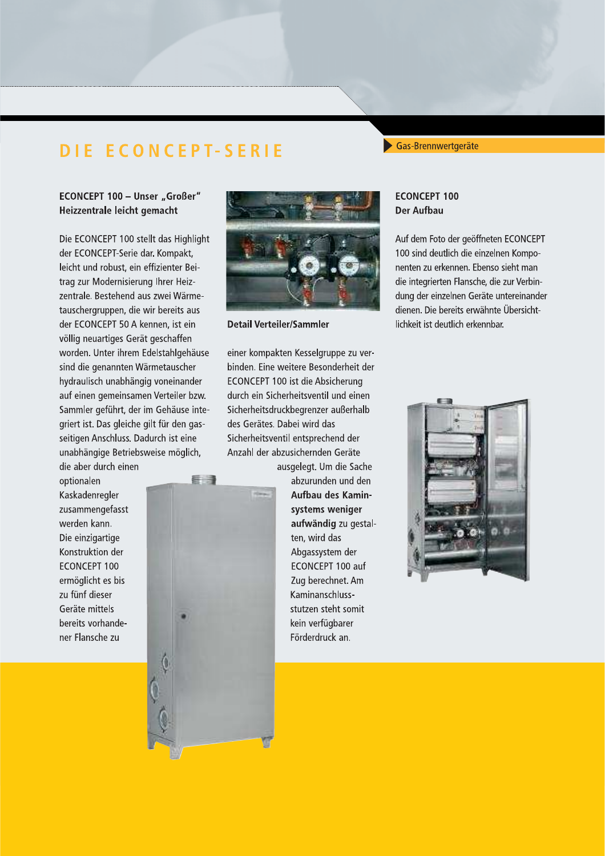Gas-Brennwertgeräte

### ECONCEPT 100 - Unser "Großer" Heizzentrale leicht gemacht

Die ECONCEPT 100 stellt das Highlight der ECONCEPT-Serie dar. Kompakt, leicht und robust, ein effizienter Beitrag zur Modernisierung Ihrer Heizzentrale. Bestehend aus zwei Wärmetauschergruppen, die wir bereits aus der ECONCEPT 50 A kennen, ist ein völlig neuartiges Gerät geschaffen worden. Unter ihrem Edelstahlgehäuse sind die genannten Wärmetauscher hydraulisch unabhängig voneinander auf einen gemeinsamen Verteiler bzw. Sammler geführt, der im Gehäuse integriert ist. Das gleiche gilt für den gasseitigen Anschluss. Dadurch ist eine unabhängige Betriebsweise möglich,

看得

die aber durch einen optionalen Kaskadenregler zusammengefasst werden kann. Die einzigartige Konstruktion der **ECONCEPT 100** ermöglicht es bis zu fünf dieser Geräte mittels bereits vorhandener Flansche zu



**Detail Verteiler/Sammler** 

#### **ECONCEPT 100 Der Aufbau**

Auf dem Foto der geöffneten ECONCEPT 100 sind deutlich die einzelnen Komponenten zu erkennen. Ebenso sieht man die integrierten Flansche, die zur Verbindung der einzelnen Geräte untereinander dienen. Die bereits erwähnte Übersichtlichkeit ist deutlich erkennbar.

einer kompakten Kesselgruppe zu verbinden. Eine weitere Besonderheit der ECONCEPT 100 ist die Absicherung durch ein Sicherheitsventil und einen Sicherheitsdruckbegrenzer außerhalb des Gerätes. Dabei wird das Sicherheitsventil entsprechend der Anzahl der abzusichernden Geräte

ausgelegt. Um die Sache abzurunden und den Aufbau des Kaminsystems weniger aufwändig zu gestalten, wird das Abgassystem der ECONCEPT 100 auf Zug berechnet. Am Kaminanschlussstutzen steht somit kein verfügbarer Förderdruck an.

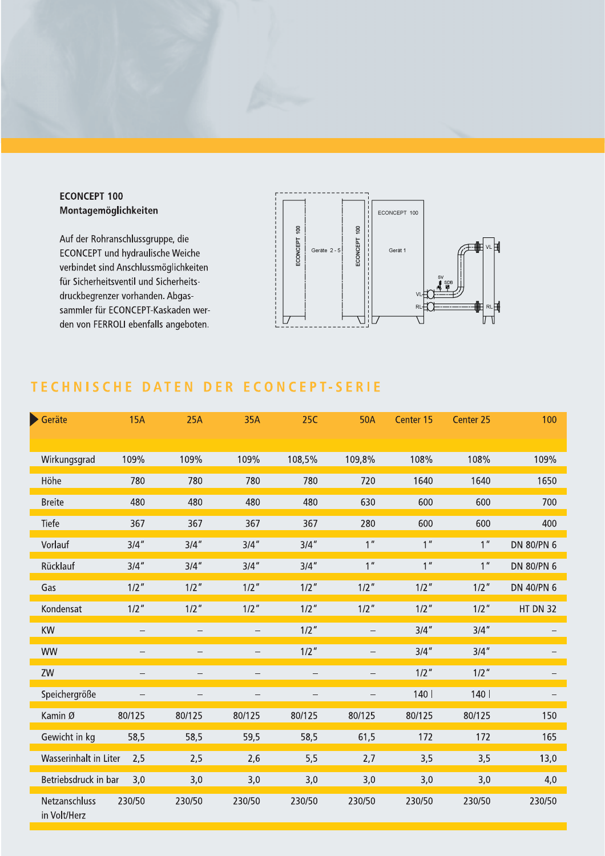

Auf der Rohranschlussgruppe, die **ECONCEPT** und hydraulische Weiche verbindet sind Anschlussmöglichkeiten für Sicherheitsventil und Sicherheitsdruckbegrenzer vorhanden. Abgassammler für ECONCEPT-Kaskaden werden von FERROLI ebenfalls angeboten.



# TECHNISCHE DATEN DER ECONCEPT-SERIE

| Geräte                        | <b>15A</b>               | 25A                      | 35A                      | <b>25C</b>               | <b>50A</b>        | Center 15               | Center 25       | 100        |
|-------------------------------|--------------------------|--------------------------|--------------------------|--------------------------|-------------------|-------------------------|-----------------|------------|
| Wirkungsgrad                  | 109%                     | 109%                     | 109%                     | 108,5%                   | 109,8%            | 108%                    | 108%            | 109%       |
| Höhe                          | 780                      | 780                      | 780                      | 780                      | 720               | 1640                    | 1640            | 1650       |
| <b>Breite</b>                 | 480                      | 480                      | 480                      | 480                      | 630               | 600                     | 600             | 700        |
| Tiefe                         | 367                      | 367                      | 367                      | 367                      | 280               | 600                     | 600             | 400        |
| Vorlauf                       | 3/4''                    | 3/4''                    | 3/4''                    | $3/4$ "                  | 1 <sup>''</sup>   | 1 <sup>''</sup>         | 1 <sup>''</sup> | DN 80/PN 6 |
| Rücklauf                      | 3/4''                    | 3/4''                    | $3/4$ "                  | $3/4$ "                  | 1 <sup>''</sup>   | 1 <sup>''</sup>         | 1 <sup>''</sup> | DN 80/PN 6 |
| Gas                           | $1/2$ "                  | $1/2$ "                  | $1/2$ "                  | $1/2$ "                  | $1/2$ "           | $1/2$ "                 | $1/2$ "         | DN 40/PN 6 |
| Kondensat                     | $1/2$ $^{\prime\prime}$  | $1/2$ $^{\prime\prime}$  | $1/2$ $^{\prime\prime}$  | $1/2$ "                  | $1/2$ "           | $1/2$ $^{\prime\prime}$ | $1/2$ "         | HT DN 32   |
| KW                            |                          |                          |                          | $1/2$ "                  |                   | 3/4''                   | 3/4''           |            |
| <b>WW</b>                     | $\overline{\phantom{0}}$ | $\overline{\phantom{0}}$ | $\qquad \qquad -$        | $1/2$ "                  | $\qquad \qquad -$ | 3/4''                   | 3/4''           |            |
| ZW                            | -                        | $\overline{\phantom{0}}$ | $\overline{\phantom{0}}$ |                          |                   | $1/2$ "                 | $1/2$ "         |            |
| Speichergröße                 |                          | $\overline{\phantom{0}}$ | $\overline{\phantom{0}}$ | $\overline{\phantom{0}}$ | $\qquad \qquad -$ | 140                     | 140             |            |
| Kamin Ø                       | 80/125                   | 80/125                   | 80/125                   | 80/125                   | 80/125            | 80/125                  | 80/125          | 150        |
| Gewicht in kg                 | 58,5                     | 58,5                     | 59,5                     | 58,5                     | 61,5              | 172                     | 172             | 165        |
| Wasserinhalt in Liter         | 2,5                      | 2,5                      | 2,6                      | 5,5                      | 2,7               | 3,5                     | 3,5             | 13,0       |
| Betriebsdruck in bar          | 3,0                      | 3,0                      | 3,0                      | 3,0                      | 3,0               | 3,0                     | 3,0             | 4,0        |
| Netzanschluss<br>in Volt/Herz | 230/50                   | 230/50                   | 230/50                   | 230/50                   | 230/50            | 230/50                  | 230/50          | 230/50     |